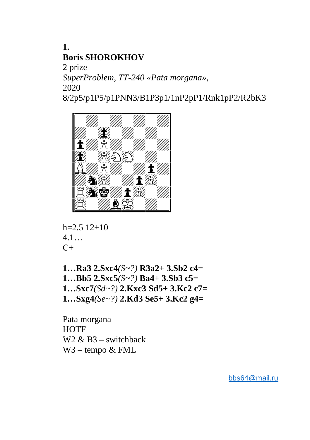**1. Boris SHOROKHOV** 

2 prize *SuperProblem, ТТ-240 «Pata morgana»,*  2020

8/2p5/p1P5/p1PNN3/B1P3p1/1nP2pP1/Rnk1pP2/R2bK3



```
h=2.5 12+10
4.1… 
C+
```
**1…Ra3 2.Sxc4***(S~?)* **R3a2+ 3.Sb2 c4= 1…Bb5 2.Sxc5***(S~?)* **Ba4+ 3.Sb3 c5= 1…Sxc7***(Sd~?)* **2.Kxc3 Sd5+ 3.Kc2 c7= 1…Sxg4***(Se~?)* **2.Kd3 Se5+ 3.Kc2 g4=**

Pata morgana **HOTF** W2  $\&$  B3 – switchback W3 – tempo & FML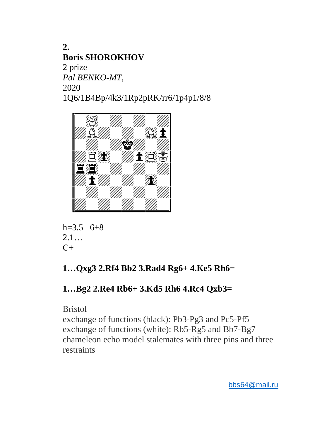**2. Boris SHOROKHOV**  2 prize *Pal BENKO-MT,*  2020 1Q6/1B4Bp/4k3/1Rp2pRK/rr6/1p4p1/8/8



h=3.5 6+8 2.1… С+

## **1…Qxg3 2.Rf4 Bb2 3.Rad4 Rg6+ 4.Ke5 Rh6=**

## **1…Bg2 2.Re4 Rb6+ 3.Kd5 Rh6 4.Rc4 Qxb3=**

Bristol

exchange of functions (black): Pb3-Pg3 and Pc5-Pf5 exchange of functions (white): Rb5-Rg5 and Bb7-Bg7 chameleon echo model stalemates with three pins and three restraints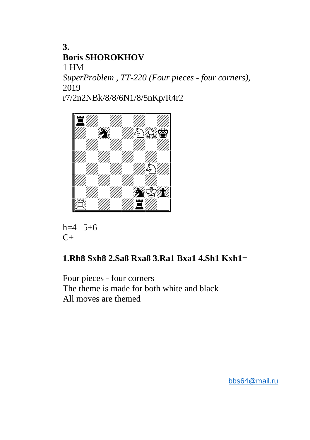$\overline{3}$ . **Boris SHOROKHOV**  $1 H M$ SuperProblem, TT-220 (Four pieces - four corners), 2019

r7/2n2NBk/8/8/6N1/8/5nKp/R4r2





## 1.Rh8 Sxh8 2.Sa8 Rxa8 3.Ra1 Bxa1 4.Sh1 Kxh1=

Four pieces - four corners The theme is made for both white and black All moves are themed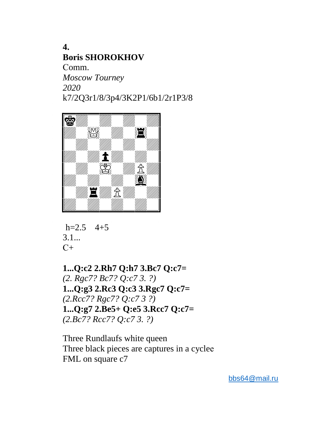**4. Boris SHOROKHOV**  Сomm. *Moscow Tourney 2020*  k7/2Q3r1/8/3p4/3K2P1/6b1/2r1P3/8



$$
h=2.5 \quad 4+5
$$
  
3.1...  
C+

**1...Q:c2 2.Rh7 Q:h7 3.Bc7 Q:c7=**  *(2. Rgc7? Bc7? Q:c7 3. ?)* **1...Q:g3 2.Rc3 Q:c3 3.Rgc7 Q:c7=**  *(2.Rcc7? Rgc7? Q:c7 3 ?)* **1...Q:g7 2.Be5+ Q:e5 3.Rcc7 Q:c7=**  *(2.Bc7? Rcc7? Q:c7 3. ?)* 

Three Rundlaufs white queen Three black pieces are captures in a cycleе FML on square c7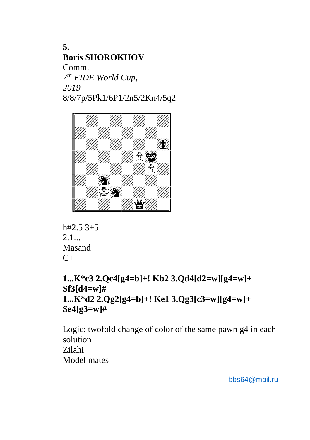**5. Boris SHOROKHOV**  Comm. *7 th FIDE World Cup, 2019*  8/8/7p/5Pk1/6P1/2n5/2Kn4/5q2



 $h#2.5$  3+5  $2.1...$ Masand  $C_{+}$ 

**1...K\*c3 2.Qc4[g4=b]+! Kb2 3.Qd4[d2=w][g4=w]+ Sf3[d4=w]# 1...K\*d2 2.Qg2[g4=b]+! Ke1 3.Qg3[c3=w][g4=w]+ Se4[g3=w]#** 

Logic: twofold change of color of the same pawn g4 in each solution Zilahi Model mates